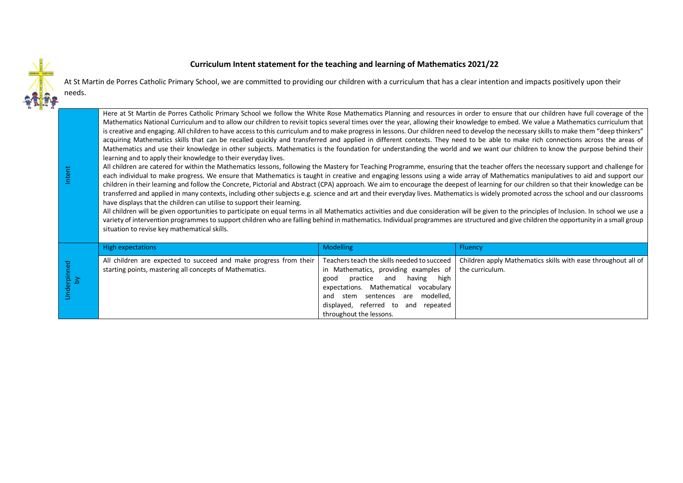## **Curriculum Intent statement for the teaching and learning of Mathematics 2021/22**



Intent

At St Martin de Porres Catholic Primary School, we are committed to providing our children with a curriculum that has a clear intention and impacts positively upon their needs.

Here at St Martin de Porres Catholic Primary School we follow the White Rose Mathematics Planning and resources in order to ensure that our children have full coverage of the Mathematics National Curriculum and to allow our children to revisit topics several times over the year, allowing their knowledge to embed. We value a Mathematics curriculum that is creative and engaging. All children to have access to this curriculum and to make progress in lessons. Our children need to develop the necessary skills to make them "deep thinkers" acquiring Mathematics skills that can be recalled quickly and transferred and applied in different contexts. They need to be able to make rich connections across the areas of Mathematics and use their knowledge in other subjects. Mathematics is the foundation for understanding the world and we want our children to know the purpose behind their learning and to apply their knowledge to their everyday lives.

All children are catered for within the Mathematics lessons, following the Mastery for Teaching Programme, ensuring that the teacher offers the necessary support and challenge for each individual to make progress. We ensure that Mathematics is taught in creative and engaging lessons using a wide array of Mathematics manipulatives to aid and support our children in their learning and follow the Concrete, Pictorial and Abstract (CPA) approach. We aim to encourage the deepest of learning for our children so that their knowledge can be transferred and applied in many contexts, including other subjects e.g. science and art and their everyday lives. Mathematicsis widely promoted across the school and our classrooms have displays that the children can utilise to support their learning.

All children will be given opportunities to participate on equal terms in all Mathematics activities and due consideration will be given to the principles of Inclusion. In school we use a variety of intervention programmes to support children who are falling behind in mathematics. Individual programmes are structured and give children the opportunity in a small group situation to revise key mathematical skills.

|            | High expectations                                                                                                                                                                                                                          | <b>Modelling</b>                                                                                                                                                                                                                         | <b>Fluency</b> |
|------------|--------------------------------------------------------------------------------------------------------------------------------------------------------------------------------------------------------------------------------------------|------------------------------------------------------------------------------------------------------------------------------------------------------------------------------------------------------------------------------------------|----------------|
| hed<br>ج ڇ | All children are expected to succeed and make progress from their   Teachers teach the skills needed to succeed   Children apply Mathematics skills with ease throughout all of<br>starting points, mastering all concepts of Mathematics. | in Mathematics, providing examples of the curriculum.<br>practice and having high<br>good<br>expectations. Mathematical vocabulary<br>and stem sentences are modelled,<br>displayed, referred to and repeated<br>throughout the lessons. |                |